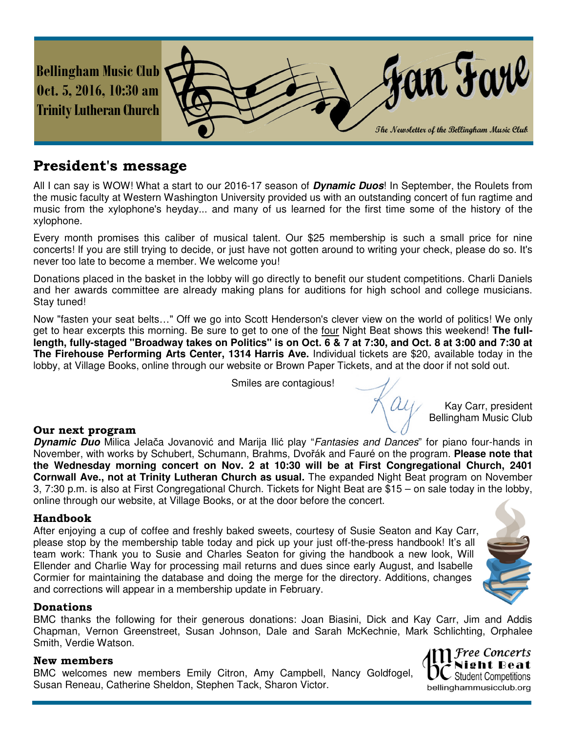

# **President's message**

All I can say is WOW! What a start to our 2016-17 season of **Dynamic Duos**! In September, the Roulets from the music faculty at Western Washington University provided us with an outstanding concert of fun ragtime and music from the xylophone's heyday... and many of us learned for the first time some of the history of the xylophone.

Every month promises this caliber of musical talent. Our \$25 membership is such a small price for nine concerts! If you are still trying to decide, or just have not gotten around to writing your check, please do so. It's never too late to become a member. We welcome you!

Donations placed in the basket in the lobby will go directly to benefit our student competitions. Charli Daniels and her awards committee are already making plans for auditions for high school and college musicians. Stay tuned!

Now "fasten your seat belts…" Off we go into Scott Henderson's clever view on the world of politics! We only get to hear excerpts this morning. Be sure to get to one of the four Night Beat shows this weekend! **The fulllength, fully-staged "Broadway takes on Politics" is on Oct. 6 & 7 at 7:30, and Oct. 8 at 3:00 and 7:30 at The Firehouse Performing Arts Center, 1314 Harris Ave.** Individual tickets are \$20, available today in the lobby, at Village Books, online through our website or Brown Paper Tickets, and at the door if not sold out.

Smiles are contagious!

## **Our next program**

**Dynamic Duo** Milica Jelača Jovanović and Marija Ilić play "Fantasies and Dances" for piano four-hands in November, with works by Schubert, Schumann, Brahms, Dvořák and Fauré on the program. **Please note that the Wednesday morning concert on Nov. 2 at 10:30 will be at First Congregational Church, 2401 Cornwall Ave., not at Trinity Lutheran Church as usual.** The expanded Night Beat program on November 3, 7:30 p.m. is also at First Congregational Church. Tickets for Night Beat are \$15 – on sale today in the lobby, online through our website, at Village Books, or at the door before the concert.

## **Handbook**

After enjoying a cup of coffee and freshly baked sweets, courtesy of Susie Seaton and Kay Carr, please stop by the membership table today and pick up your just off-the-press handbook! It's all team work: Thank you to Susie and Charles Seaton for giving the handbook a new look, Will Ellender and Charlie Way for processing mail returns and dues since early August, and Isabelle Cormier for maintaining the database and doing the merge for the directory. Additions, changes and corrections will appear in a membership update in February.

## **Donations**

BMC thanks the following for their generous donations: Joan Biasini, Dick and Kay Carr, Jim and Addis Chapman, Vernon Greenstreet, Susan Johnson, Dale and Sarah McKechnie, Mark Schlichting, Orphalee Smith, Verdie Watson.

#### **New members**

BMC welcomes new members Emily Citron, Amy Campbell, Nancy Goldfogel, Susan Reneau, Catherine Sheldon, Stephen Tack, Sharon Victor.



Kay Carr, president Bellingham Music Club

ree Concerts **Student Competitions** bellinghammusicclub.org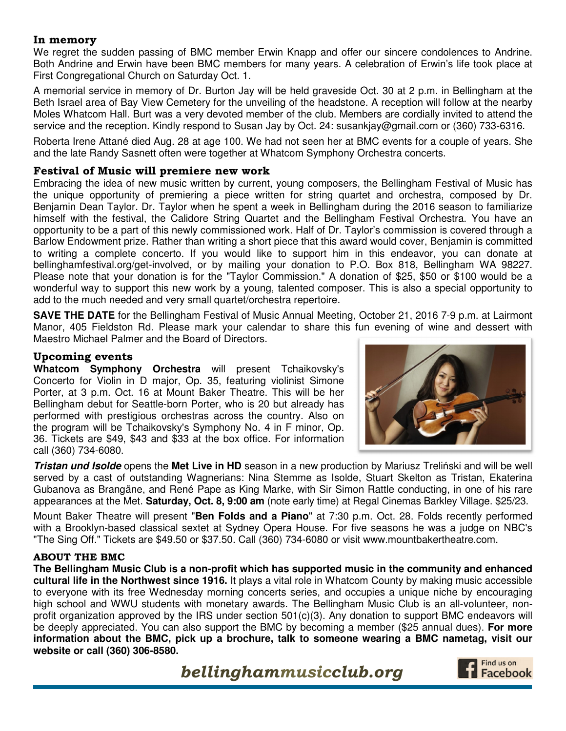#### **In memory**

We regret the sudden passing of BMC member Erwin Knapp and offer our sincere condolences to Andrine. Both Andrine and Erwin have been BMC members for many years. A celebration of Erwin's life took place at First Congregational Church on Saturday Oct. 1.

A memorial service in memory of Dr. Burton Jay will be held graveside Oct. 30 at 2 p.m. in Bellingham at the Beth Israel area of Bay View Cemetery for the unveiling of the headstone. A reception will follow at the nearby Moles Whatcom Hall. Burt was a very devoted member of the club. Members are cordially invited to attend the service and the reception. Kindly respond to Susan Jay by Oct. 24: susankjay@gmail.com or (360) 733-6316.

Roberta Irene Attané died Aug. 28 at age 100. We had not seen her at BMC events for a couple of years. She and the late Randy Sasnett often were together at Whatcom Symphony Orchestra concerts.

#### **Festival of Music will premiere new work**

Embracing the idea of new music written by current, young composers, the Bellingham Festival of Music has the unique opportunity of premiering a piece written for string quartet and orchestra, composed by Dr. Benjamin Dean Taylor. Dr. Taylor when he spent a week in Bellingham during the 2016 season to familiarize himself with the festival, the Calidore String Quartet and the Bellingham Festival Orchestra. You have an opportunity to be a part of this newly commissioned work. Half of Dr. Taylor's commission is covered through a Barlow Endowment prize. Rather than writing a short piece that this award would cover, Benjamin is committed to writing a complete concerto. If you would like to support him in this endeavor, you can donate at bellinghamfestival.org/get-involved, or by mailing your donation to P.O. Box 818, Bellingham WA 98227. Please note that your donation is for the "Taylor Commission." A donation of \$25, \$50 or \$100 would be a wonderful way to support this new work by a young, talented composer. This is also a special opportunity to add to the much needed and very small quartet/orchestra repertoire.

**SAVE THE DATE** for the Bellingham Festival of Music Annual Meeting, October 21, 2016 7-9 p.m. at Lairmont Manor, 405 Fieldston Rd. Please mark your calendar to share this fun evening of wine and dessert with Maestro Michael Palmer and the Board of Directors.

#### **Upcoming events**

**Whatcom Symphony Orchestra** will present Tchaikovsky's Concerto for Violin in D major, Op. 35, featuring violinist Simone Porter, at 3 p.m. Oct. 16 at Mount Baker Theatre. This will be her Bellingham debut for Seattle-born Porter, who is 20 but already has performed with prestigious orchestras across the country. Also on the program will be Tchaikovsky's Symphony No. 4 in F minor, Op. 36. Tickets are \$49, \$43 and \$33 at the box office. For information call (360) 734-6080.



**Tristan und Isolde** opens the **Met Live in HD** season in a new production by Mariusz Treliński and will be well served by a cast of outstanding Wagnerians: Nina Stemme as Isolde, Stuart Skelton as Tristan, Ekaterina Gubanova as Brangäne, and René Pape as King Marke, with Sir Simon Rattle conducting, in one of his rare appearances at the Met. **Saturday, Oct. 8, 9:00 am** (note early time) at Regal Cinemas Barkley Village. \$25/23.

Mount Baker Theatre will present "**Ben Folds and a Piano**" at 7:30 p.m. Oct. 28. Folds recently performed with a Brooklyn-based classical sextet at Sydney Opera House. For five seasons he was a judge on NBC's "The Sing Off." Tickets are \$49.50 or \$37.50. Call (360) 734-6080 or visit www.mountbakertheatre.com.

#### **ABOUT THE BMC**

**The Bellingham Music Club is a non-profit which has supported music in the community and enhanced cultural life in the Northwest since 1916.** It plays a vital role in Whatcom County by making music accessible to everyone with its free Wednesday morning concerts series, and occupies a unique niche by encouraging high school and WWU students with monetary awards. The Bellingham Music Club is an all-volunteer, nonprofit organization approved by the IRS under section 501(c)(3). Any donation to support BMC endeavors will be deeply appreciated. You can also support the BMC by becoming a member (\$25 annual dues). **For more information about the BMC, pick up a brochure, talk to someone wearing a BMC nametag, visit our website or call (360) 306-8580.** 

 *bellinghammusicclub.org*

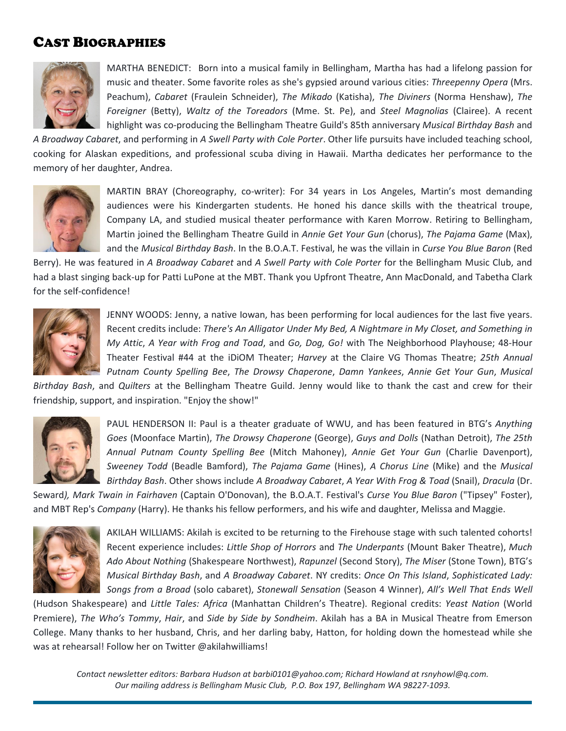# CAST BIOGRAPHIES



MARTHA BENEDICT: Born into a musical family in Bellingham, Martha has had a lifelong passion for music and theater. Some favorite roles as she's gypsied around various cities: *Threepenny Opera* (Mrs. Peachum), *Cabaret* (Fraulein Schneider), *The Mikado* (Katisha), *The Diviners* (Norma Henshaw), *The Foreigner* (Betty), *Waltz of the Toreadors* (Mme. St. Pe), and *Steel Magnolias* (Clairee). A recent highlight was co-producing the Bellingham Theatre Guild's 85th anniversary *Musical Birthday Bash* and

*A Broadway Cabaret*, and performing in *A Swell Party with Cole Porter*. Other life pursuits have included teaching school, cooking for Alaskan expeditions, and professional scuba diving in Hawaii. Martha dedicates her performance to the memory of her daughter, Andrea.



MARTIN BRAY (Choreography, co-writer): For 34 years in Los Angeles, Martin's most demanding audiences were his Kindergarten students. He honed his dance skills with the theatrical troupe, Company LA, and studied musical theater performance with Karen Morrow. Retiring to Bellingham, Martin joined the Bellingham Theatre Guild in *Annie Get Your Gun* (chorus), *The Pajama Game* (Max), and the *Musical Birthday Bash*. In the B.O.A.T. Festival, he was the villain in *Curse You Blue Baron* (Red

Berry). He was featured in *A Broadway Cabaret* and *A Swell Party with Cole Porter* for the Bellingham Music Club, and had a blast singing back-up for Patti LuPone at the MBT. Thank you Upfront Theatre, Ann MacDonald, and Tabetha Clark for the self-confidence!



JENNY WOODS: Jenny, a native Iowan, has been performing for local audiences for the last five years. Recent credits include: *There's An Alligator Under My Bed, A Nightmare in My Closet, and Something in My Attic*, *A Year with Frog and Toad*, and *Go, Dog, Go!* with The Neighborhood Playhouse; 48-Hour Theater Festival #44 at the iDiOM Theater; *Harvey* at the Claire VG Thomas Theatre; *25th Annual Putnam County Spelling Bee*, *The Drowsy Chaperone*, *Damn Yankees*, *Annie Get Your Gun*, *Musical* 

*Birthday Bash*, and *Quilters* at the Bellingham Theatre Guild. Jenny would like to thank the cast and crew for their friendship, support, and inspiration. "Enjoy the show!"



PAUL HENDERSON II: Paul is a theater graduate of WWU, and has been featured in BTG's *Anything Goes* (Moonface Martin), *The Drowsy Chaperone* (George), *Guys and Dolls* (Nathan Detroit), *The 25th Annual Putnam County Spelling Bee* (Mitch Mahoney), *Annie Get Your Gun* (Charlie Davenport), *Sweeney Todd* (Beadle Bamford), *The Pajama Game* (Hines), *A Chorus Line* (Mike) and the *Musical Birthday Bash*. Other shows include *A Broadway Cabaret*, *A Year With Frog & Toad* (Snail), *Dracula* (Dr.

Seward*), Mark Twain in Fairhaven* (Captain O'Donovan), the B.O.A.T. Festival's *Curse You Blue Baron* ("Tipsey" Foster), and MBT Rep's *Company* (Harry). He thanks his fellow performers, and his wife and daughter, Melissa and Maggie.



L

AKILAH WILLIAMS: Akilah is excited to be returning to the Firehouse stage with such talented cohorts! Recent experience includes: *Little Shop of Horrors* and *The Underpants* (Mount Baker Theatre), *Much Ado About Nothing* (Shakespeare Northwest), *Rapunzel* (Second Story), *The Miser* (Stone Town), BTG's *Musical Birthday Bash*, and *A Broadway Cabaret*. NY credits: *Once On This Island*, *Sophisticated Lady: Songs from a Broad* (solo cabaret), *Stonewall Sensation* (Season 4 Winner), *All's Well That Ends Well*

(Hudson Shakespeare) and *Little Tales: Africa* (Manhattan Children's Theatre). Regional credits: *Yeast Nation* (World Premiere), *The Who's Tommy*, *Hair*, and *Side by Side by Sondheim*. Akilah has a BA in Musical Theatre from Emerson College. Many thanks to her husband, Chris, and her darling baby, Hatton, for holding down the homestead while she was at rehearsal! Follow her on Twitter @akilahwilliams!

*Contact newsletter editors: Barbara Hudson at barbi0101@yahoo.com; Richard Howland at rsnyhowl@q.com. Our mailing address is Bellingham Music Club, P.O. Box 197, Bellingham WA 98227-1093.*